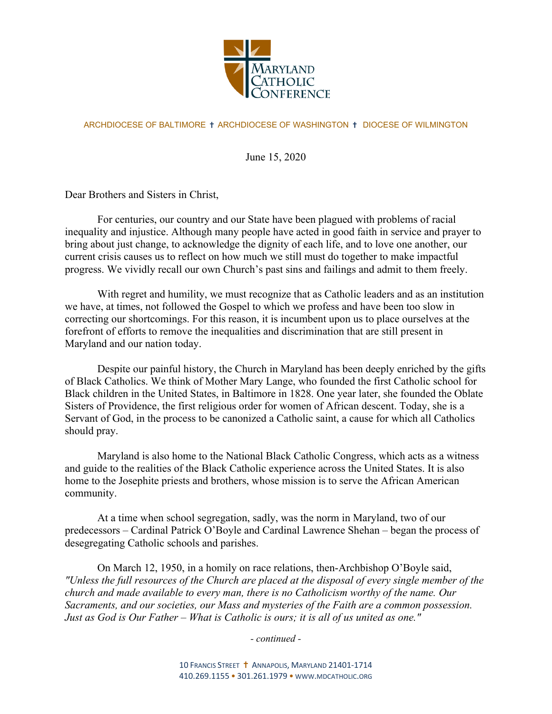

## ARCHDIOCESE OF BALTIMORE ✝ ARCHDIOCESE OF WASHINGTON ✝ DIOCESE OF WILMINGTON

June 15, 2020

Dear Brothers and Sisters in Christ,

For centuries, our country and our State have been plagued with problems of racial inequality and injustice. Although many people have acted in good faith in service and prayer to bring about just change, to acknowledge the dignity of each life, and to love one another, our current crisis causes us to reflect on how much we still must do together to make impactful progress. We vividly recall our own Church's past sins and failings and admit to them freely.

With regret and humility, we must recognize that as Catholic leaders and as an institution we have, at times, not followed the Gospel to which we profess and have been too slow in correcting our shortcomings. For this reason, it is incumbent upon us to place ourselves at the forefront of efforts to remove the inequalities and discrimination that are still present in Maryland and our nation today.

Despite our painful history, the Church in Maryland has been deeply enriched by the gifts of Black Catholics. We think of Mother Mary Lange, who founded the first Catholic school for Black children in the United States, in Baltimore in 1828. One year later, she founded the Oblate Sisters of Providence, the first religious order for women of African descent. Today, she is a Servant of God, in the process to be canonized a Catholic saint, a cause for which all Catholics should pray.

Maryland is also home to the National Black Catholic Congress, which acts as a witness and guide to the realities of the Black Catholic experience across the United States. It is also home to the Josephite priests and brothers, whose mission is to serve the African American community.

At a time when school segregation, sadly, was the norm in Maryland, two of our predecessors – Cardinal Patrick O'Boyle and Cardinal Lawrence Shehan – began the process of desegregating Catholic schools and parishes.

On March 12, 1950, in a homily on race relations, then-Archbishop O'Boyle said, *"Unless the full resources of the Church are placed at the disposal of every single member of the church and made available to every man, there is no Catholicism worthy of the name. Our Sacraments, and our societies, our Mass and mysteries of the Faith are a common possession. Just as God is Our Father* – *What is Catholic is ours; it is all of us united as one."* 

*- continued -*